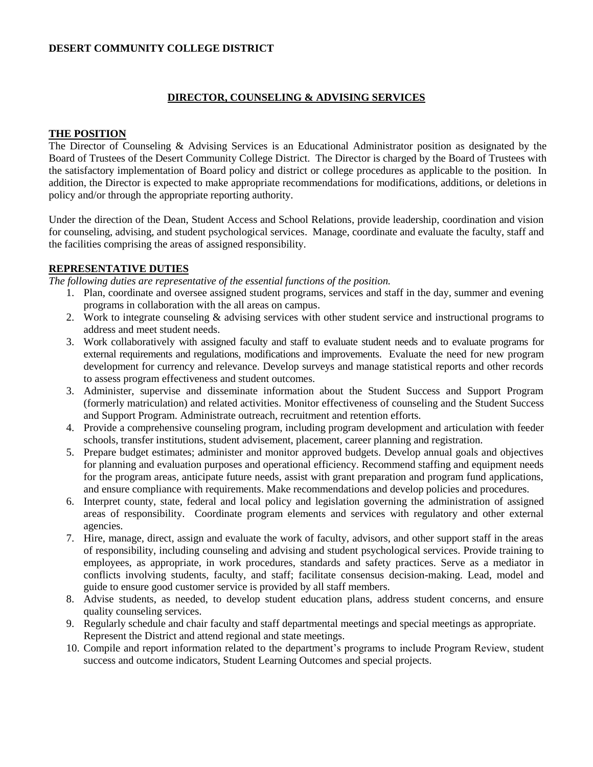# **DESERT COMMUNITY COLLEGE DISTRICT**

### **DIRECTOR, COUNSELING & ADVISING SERVICES**

### **THE POSITION**

The Director of Counseling & Advising Services is an Educational Administrator position as designated by the Board of Trustees of the Desert Community College District. The Director is charged by the Board of Trustees with the satisfactory implementation of Board policy and district or college procedures as applicable to the position. In addition, the Director is expected to make appropriate recommendations for modifications, additions, or deletions in policy and/or through the appropriate reporting authority.

Under the direction of the Dean, Student Access and School Relations, provide leadership, coordination and vision for counseling, advising, and student psychological services. Manage, coordinate and evaluate the faculty, staff and the facilities comprising the areas of assigned responsibility.

### **REPRESENTATIVE DUTIES**

*The following duties are representative of the essential functions of the position.*

- 1. Plan, coordinate and oversee assigned student programs, services and staff in the day, summer and evening programs in collaboration with the all areas on campus.
- 2. Work to integrate counseling & advising services with other student service and instructional programs to address and meet student needs.
- 3. Work collaboratively with assigned faculty and staff to evaluate student needs and to evaluate programs for external requirements and regulations, modifications and improvements. Evaluate the need for new program development for currency and relevance. Develop surveys and manage statistical reports and other records to assess program effectiveness and student outcomes.
- 3. Administer, supervise and disseminate information about the Student Success and Support Program (formerly matriculation) and related activities. Monitor effectiveness of counseling and the Student Success and Support Program. Administrate outreach, recruitment and retention efforts.
- 4. Provide a comprehensive counseling program, including program development and articulation with feeder schools, transfer institutions, student advisement, placement, career planning and registration.
- 5. Prepare budget estimates; administer and monitor approved budgets. Develop annual goals and objectives for planning and evaluation purposes and operational efficiency. Recommend staffing and equipment needs for the program areas, anticipate future needs, assist with grant preparation and program fund applications, and ensure compliance with requirements. Make recommendations and develop policies and procedures.
- 6. Interpret county, state, federal and local policy and legislation governing the administration of assigned areas of responsibility. Coordinate program elements and services with regulatory and other external agencies.
- 7. Hire, manage, direct, assign and evaluate the work of faculty, advisors, and other support staff in the areas of responsibility, including counseling and advising and student psychological services. Provide training to employees, as appropriate, in work procedures, standards and safety practices. Serve as a mediator in conflicts involving students, faculty, and staff; facilitate consensus decision-making. Lead, model and guide to ensure good customer service is provided by all staff members.
- 8. Advise students, as needed, to develop student education plans, address student concerns, and ensure quality counseling services.
- 9. Regularly schedule and chair faculty and staff departmental meetings and special meetings as appropriate. Represent the District and attend regional and state meetings.
- 10. Compile and report information related to the department's programs to include Program Review, student success and outcome indicators, Student Learning Outcomes and special projects.